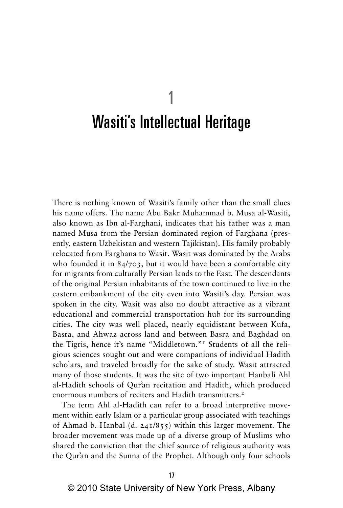# 1 Wasiti's Intellectual Heritage

There is nothing known of Wasiti's family other than the small clues his name offers. The name Abu Bakr Muhammad b. Musa al-Wasiti, also known as Ibn al-Farghani, indicates that his father was a man named Musa from the Persian dominated region of Farghana (presently, eastern Uzbekistan and western Tajikistan). His family probably relocated from Farghana to Wasit. Wasit was dominated by the Arabs who founded it in 84/703, but it would have been a comfortable city for migrants from culturally Persian lands to the East. The descendants of the original Persian inhabitants of the town continued to live in the eastern embankment of the city even into Wasiti's day. Persian was spoken in the city. Wasit was also no doubt attractive as a vibrant educational and commercial transportation hub for its surrounding cities. The city was well placed, nearly equidistant between Kufa, Basra, and Ahwaz across land and between Basra and Baghdad on the Tigris, hence it's name "Middletown."1 Students of all the religious sciences sought out and were companions of individual Hadith scholars, and traveled broadly for the sake of study. Wasit attracted many of those students. It was the site of two important Hanbali Ahl al-Hadith schools of Qurªan recitation and Hadith, which produced enormous numbers of reciters and Hadith transmitters.<sup>2</sup>

The term Ahl al-Hadith can refer to a broad interpretive movement within early Islam or a particular group associated with teachings of Ahmad b. Hanbal (d.  $24I/855$ ) within this larger movement. The broader movement was made up of a diverse group of Muslims who shared the conviction that the chief source of religious authority was the Qurªan and the Sunna of the Prophet. Although only four schools

# © 2010 State University of New York Press, Albany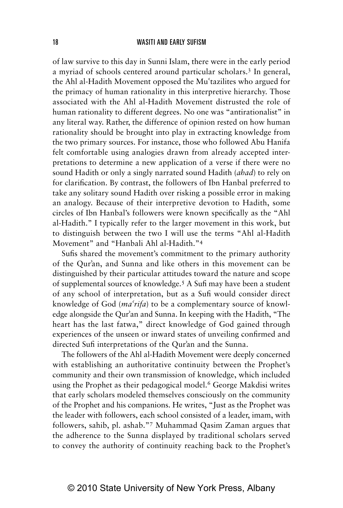# 18 WASITI AND EARLY SUFISM

of law survive to this day in Sunni Islam, there were in the early period a myriad of schools centered around particular scholars.3 In general, the Ahl al-Hadith Movement opposed the Muºtazilites who argued for the primacy of human rationality in this interpretive hierarchy. Those associated with the Ahl al-Hadith Movement distrusted the role of human rationality to different degrees. No one was "antirationalist" in any literal way. Rather, the difference of opinion rested on how human rationality should be brought into play in extracting knowledge from the two primary sources. For instance, those who followed Abu Hanifa felt comfortable using analogies drawn from already accepted interpretations to determine a new application of a verse if there were no sound Hadith or only a singly narrated sound Hadith (*ahad*) to rely on for clarification. By contrast, the followers of Ibn Hanbal preferred to take any solitary sound Hadith over risking a possible error in making an analogy. Because of their interpretive devotion to Hadith, some circles of Ibn Hanbal's followers were known specifically as the "Ahl al-Hadith." I typically refer to the larger movement in this work, but to distinguish between the two I will use the terms "Ahl al-Hadith Movement" and "Hanbali Ahl al-Hadith."<sup>4</sup>

Sufis shared the movement's commitment to the primary authority of the Qurªan, and Sunna and like others in this movement can be distinguished by their particular attitudes toward the nature and scope of supplemental sources of knowledge.5 A Sufi may have been a student of any school of interpretation, but as a Sufi would consider direct knowledge of God (*maºrifa*) to be a complementary source of knowledge alongside the Qurªan and Sunna. In keeping with the Hadith, "The heart has the last fatwa," direct knowledge of God gained through experiences of the unseen or inward states of unveiling confirmed and directed Sufi interpretations of the Qur'an and the Sunna.

The followers of the Ahl al-Hadith Movement were deeply concerned with establishing an authoritative continuity between the Prophet's community and their own transmission of knowledge, which included using the Prophet as their pedagogical model.<sup>6</sup> George Makdisi writes that early scholars modeled themselves consciously on the community of the Prophet and his companions. He writes, "Just as the Prophet was the leader with followers, each school consisted of a leader, imam, with followers, sahib, pl. ashab."7 Muhammad Qasim Zaman argues that the adherence to the Sunna displayed by traditional scholars served to convey the authority of continuity reaching back to the Prophet's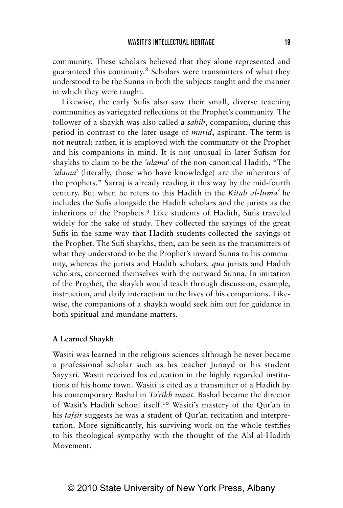community. These scholars believed that they alone represented and guaranteed this continuity.<sup>8</sup> Scholars were transmitters of what they understood to be the Sunna in both the subjects taught and the manner in which they were taught.

Likewise, the early Sufis also saw their small, diverse teaching communities as variegated reflections of the Prophet's community. The follower of a shaykh was also called a *sahib*, companion, during this period in contrast to the later usage of *murid*, aspirant. The term is not neutral; rather, it is employed with the community of the Prophet and his companions in mind. It is not unusual in later Sufism for shaykhs to claim to be the *ºulamaª* of the non-canonical Hadith, "The *ºulamaª* (literally, those who have knowledge) are the inheritors of the prophets." Sarraj is already reading it this way by the mid-fourth century. But when he refers to this Hadith in the *Kitab al-lumaº* he includes the Sufis alongside the Hadith scholars and the jurists as the inheritors of the Prophets.<sup>9</sup> Like students of Hadith, Sufis traveled widely for the sake of study. They collected the sayings of the great Sufis in the same way that Hadith students collected the sayings of the Prophet. The Sufi shaykhs, then, can be seen as the transmitters of what they understood to be the Prophet's inward Sunna to his community, whereas the jurists and Hadith scholars*, qua* jurists and Hadith scholars, concerned themselves with the outward Sunna. In imitation of the Prophet, the shaykh would teach through discussion, example, instruction, and daily interaction in the lives of his companions. Likewise, the companions of a shaykh would seek him out for guidance in both spiritual and mundane matters.

#### **A Learned Shaykh**

Wasiti was learned in the religious sciences although he never became a professional scholar such as his teacher Junayd or his student Sayyari. Wasiti received his education in the highly regarded institutions of his home town. Wasiti is cited as a transmitter of a Hadith by his contemporary Bashal in *Taªrikh wasit.* Bashal became the director of Wasit's Hadith school itself.<sup>10</sup> Wasiti's mastery of the Qur'an in his *tafsir* suggests he was a student of Qurªan recitation and interpretation. More significantly, his surviving work on the whole testifies to his theological sympathy with the thought of the Ahl al-Hadith Movement.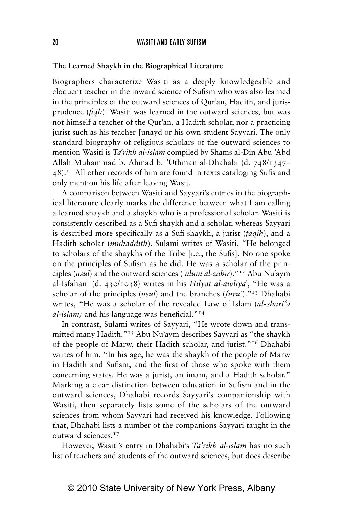# 20 WASITI AND EARLY SUFISM

# **The Learned Shaykh in the Biographical Literature**

Biographers characterize Wasiti as a deeply knowledgeable and eloquent teacher in the inward science of Sufism who was also learned in the principles of the outward sciences of Qurªan, Hadith, and jurisprudence (*fiqh*). Wasiti was learned in the outward sciences, but was not himself a teacher of the Qurªan, a Hadith scholar, nor a practicing jurist such as his teacher Junayd or his own student Sayyari. The only standard biography of religious scholars of the outward sciences to mention Wasiti is *Taªrikh al-islam* compiled by Shams al-Din Abu ºAbd Allah Muhammad b. Ahmad b. ºUthman al-Dhahabi (d. 748/1347–  $48$ ).<sup>11</sup> All other records of him are found in texts cataloging Sufis and only mention his life after leaving Wasit.

A comparison between Wasiti and Sayyari's entries in the biographical literature clearly marks the difference between what I am calling a learned shaykh and a shaykh who is a professional scholar. Wasiti is consistently described as a Sufi shaykh and a scholar, whereas Sayyari is described more specifically as a Sufi shaykh, a jurist (*faqih*), and a Hadith scholar (*muhaddith*). Sulami writes of Wasiti, "He belonged to scholars of the shaykhs of the Tribe [i.e., the Sufis]. No one spoke on the principles of Sufism as he did. He was a scholar of the principles (*usul*) and the outward sciences (*'ulum al-zahir*)."12 Abu Nuºaym al-Isfahani (d. 430/1038) writes in his *Hilyat al-awliyaª*, "He was a scholar of the principles *(usul)* and the branches *(furu<sup>c</sup>)*."<sup>13</sup> Dhahabi writes, "He was a scholar of the revealed Law of Islam (*al-shari'a al-islam*) and his language was beneficial."<sup>14</sup>

In contrast, Sulami writes of Sayyari, "He wrote down and transmitted many Hadith."<sup>15</sup> Abu Nu'aym describes Sayyari as "the shaykh of the people of Marw, their Hadith scholar, and jurist."16 Dhahabi writes of him, "In his age, he was the shaykh of the people of Marw in Hadith and Sufism, and the first of those who spoke with them concerning states. He was a jurist, an imam, and a Hadith scholar." Marking a clear distinction between education in Sufism and in the outward sciences, Dhahabi records Sayyari's companionship with Wasiti, then separately lists some of the scholars of the outward sciences from whom Sayyari had received his knowledge. Following that, Dhahabi lists a number of the companions Sayyari taught in the outward sciences.<sup>17</sup>

However, Wasiti's entry in Dhahabi's *Taªrikh al-islam* has no such list of teachers and students of the outward sciences, but does describe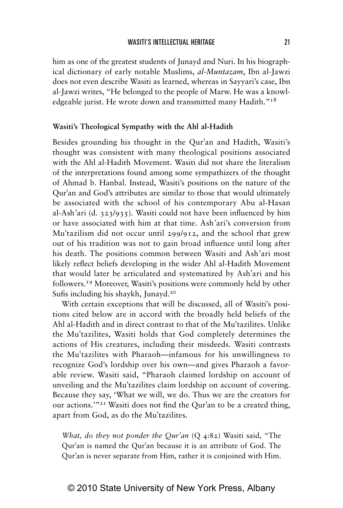him as one of the greatest students of Junayd and Nuri. In his biographical dictionary of early notable Muslims, *al-Muntazam*, Ibn al-Jawzi

does not even describe Wasiti as learned, whereas in Sayyari's case, Ibn al-Jawzi writes, "He belonged to the people of Marw. He was a knowledgeable jurist. He wrote down and transmitted many Hadith." $18$ 

# **Wasiti's Theological Sympathy with the Ahl al-Hadith**

Besides grounding his thought in the Our'an and Hadith, Wasiti's thought was consistent with many theological positions associated with the Ahl al-Hadith Movement. Wasiti did not share the literalism of the interpretations found among some sympathizers of the thought of Ahmad b. Hanbal. Instead, Wasiti's positions on the nature of the Qurªan and God's attributes are similar to those that would ultimately be associated with the school of his contemporary Abu al-Hasan al-Ash'ari (d.  $323/935$ ). Wasiti could not have been influenced by him or have associated with him at that time. Ash ari's conversion from Mu'tazilism did not occur until  $299/912$ , and the school that grew out of his tradition was not to gain broad influence until long after his death. The positions common between Wasiti and Ash'ari most likely reflect beliefs developing in the wider Ahl al-Hadith Movement that would later be articulated and systematized by Ashºari and his followers.19 Moreover, Wasiti's positions were commonly held by other Sufis including his shaykh, Junayd.<sup>20</sup>

With certain exceptions that will be discussed, all of Wasiti's positions cited below are in accord with the broadly held beliefs of the Ahl al-Hadith and in direct contrast to that of the Muºtazilites. Unlike the Muºtazilites, Wasiti holds that God completely determines the actions of His creatures, including their misdeeds. Wasiti contrasts the Muºtazilites with Pharaoh—infamous for his unwillingness to recognize God's lordship over his own—and gives Pharaoh a favorable review. Wasiti said, "Pharaoh claimed lordship on account of unveiling and the Mu'tazilites claim lordship on account of covering. Because they say, 'What we will, we do. Thus we are the creators for our actions.'"<sup>21</sup> Wasiti does not find the Qur'an to be a created thing, apart from God, as do the Mu'tazilites.

*What, do they not ponder the Qurªan* (Q 4:82) Wasiti said, "The Qurªan is named the Qurªan because it is an attribute of God. The Qurªan is never separate from Him, rather it is conjoined with Him.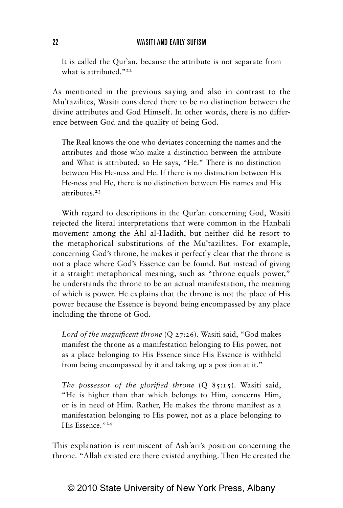# 22 WASITI AND EARLY SUFISM

It is called the Qur'an, because the attribute is not separate from what is attributed."<sup>22</sup>

As mentioned in the previous saying and also in contrast to the Mu'tazilites, Wasiti considered there to be no distinction between the divine attributes and God Himself. In other words, there is no difference between God and the quality of being God.

The Real knows the one who deviates concerning the names and the attributes and those who make a distinction between the attribute and What is attributed, so He says, "He." There is no distinction between His He-ness and He. If there is no distinction between His He-ness and He, there is no distinction between His names and His attributes.<sup>23</sup>

With regard to descriptions in the Qur'an concerning God, Wasiti rejected the literal interpretations that were common in the Hanbali movement among the Ahl al-Hadith, but neither did he resort to the metaphorical substitutions of the Muºtazilites. For example, concerning God's throne, he makes it perfectly clear that the throne is not a place where God's Essence can be found. But instead of giving it a straight metaphorical meaning, such as "throne equals power," he understands the throne to be an actual manifestation, the meaning of which is power. He explains that the throne is not the place of His power because the Essence is beyond being encompassed by any place including the throne of God.

*Lord of the magnificent throne* (Q 27:26). Wasiti said, "God makes manifest the throne as a manifestation belonging to His power, not as a place belonging to His Essence since His Essence is withheld from being encompassed by it and taking up a position at it."

*The possessor of the glorified throne*  $(Q \ 85:15)$ . Wasiti said, "He is higher than that which belongs to Him, concerns Him, or is in need of Him. Rather, He makes the throne manifest as a manifestation belonging to His power, not as a place belonging to His Essence."<sup>24</sup>

This explanation is reminiscent of Ash ari's position concerning the throne. "Allah existed ere there existed anything. Then He created the